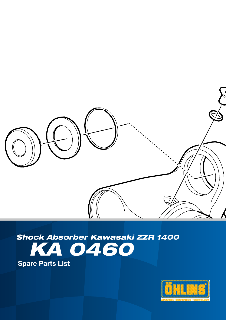

# *KA 0460 Shock Absorber Kawasaki ZZR 1400*

Spare Parts List

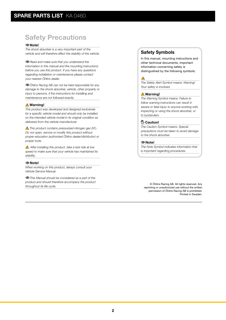## Safety Precautions

#### Note!

*The shock absorber is a very important part of the vehicle and will therefore affect the stability of the vehicle.*

*Read and make sure that you understand the information in this manual and the mounting instructions before you use this product. If you have any questions regarding installation or maintenance please contact your nearest Öhlins dealer.*

*Öhlins Racing AB can not be held responsible for any damage to the shock absorber, vehicle, other property or injury to persons, if the instructions for installing and maintenance are not followed exactly.*

#### **△Warning!**

*This product was developed and designed exclusively for a specific vehicle model and should only be installed on the intended vehicle model in its original condition as delivered from the vehicle manufacturer.*

*This product contains pressurized nitrogen gas (N2 ). Do not open, service or modify this product without proper education (authorized Öhlins dealer/distributor) or proper tools.*

 *After installing this product, take a test ride at low speed to make sure that your vehicle has maintained its stability.*

#### Note!

*When working on this product, always consult your Vehicle Service Manual.*

*This Manual should be considered as a part of the product and should therefore accompany the product throughout its life cycle.*

#### Safety Symbols

In this manual, mounting instructions and other technical documents, important information concerning safety is distinguished by the following symbols:



*The Safety Alert Symbol means: Warning! Your safety is involved.*

#### **△Warning!**

*The Warning Symbol means: Failure to follow warning instructions can result in severe or fatal injury to anyone working with, inspecting or using the shock absorber, or to bystanders.*

#### <sup>(<sup>11</sup>)⊱ Caution!</sup>

*The Caution Symbol means: Special precautions must be taken to avoid damage to the shock absorber.*

#### Note!

*The Note Symbol indicates information that is important regarding procedures.*

© Öhlins Racing AB. All rights reserved. Any reprinting or unauthorized use without the written permission of Öhlins Racing AB is prohibited. Printed in Sweden.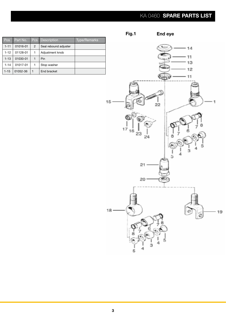## KA 0460 SPARE PARTS LIST

End eye

Fig.1

| Pos      | Part No. | Pcs | <b>Description</b>    | Type/Remarks |
|----------|----------|-----|-----------------------|--------------|
| $1 - 11$ | 01016-01 | 2   | Seal rebound adjuster |              |
| $1 - 12$ | 01128-01 |     | Adjustment knob       |              |
| $1 - 13$ | 01030-01 |     | Pin                   |              |
| $1 - 14$ | 01017-01 | 1   | Stop washer           |              |
| $1 - 15$ | 01052-36 |     | End bracket           |              |

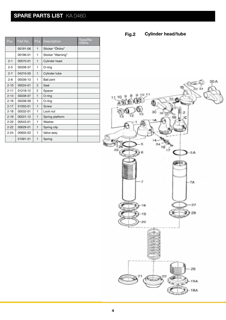## SPARE PARTS LIST KA 0460

| Pos      | Part No. | $\overline{\mathrm{Pcs}}$ | Description       | Type/Re-<br>marks |
|----------|----------|---------------------------|-------------------|-------------------|
|          | 00191-06 | 1                         | Sticker "Öhlins"  |                   |
|          | 00196-01 | 1                         | Sticker "Warning" |                   |
| $2 - 1$  | 00570-01 | $\mathbf{1}$              | Cylinder head     |                   |
| $2 - 5$  | 00338-37 | 1                         | O-ring            |                   |
| $2 - 7$  | 04210-50 | 1                         | Cylinder tube     |                   |
| $2 - 8$  | 00536-13 | 1                         | <b>Ball joint</b> |                   |
| $2 - 10$ | 00534-01 | $\overline{2}$            | Seal              |                   |
| $2 - 11$ | 01218-12 | $\overline{2}$            | Spacer            |                   |
| $2 - 14$ | 00338-07 | 1                         | O-ring            |                   |
| $2 - 16$ | 00338-59 | 1                         | O-ring            |                   |
| $2 - 17$ | 01050-01 | 1                         | Screw             |                   |
| $2 - 18$ | 00532-01 | 1                         | Lock nut          |                   |
| $2 - 19$ | 00531-12 | $\mathbf{1}$              | Spring platform   |                   |
| $2 - 20$ | 00543-01 | 1                         | Washer            |                   |
| $2 - 22$ | 00629-01 | 1                         | Spring clip       |                   |
| $2 - 24$ | 00603-03 | 1                         | Valve assy        |                   |
|          | 01091-31 | 1                         | Spring            |                   |

Cylinder head/tube Fig.2

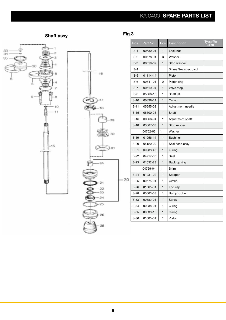## KA 0460 SPARE PARTS LIST



### Shaft assy **Fig.3**